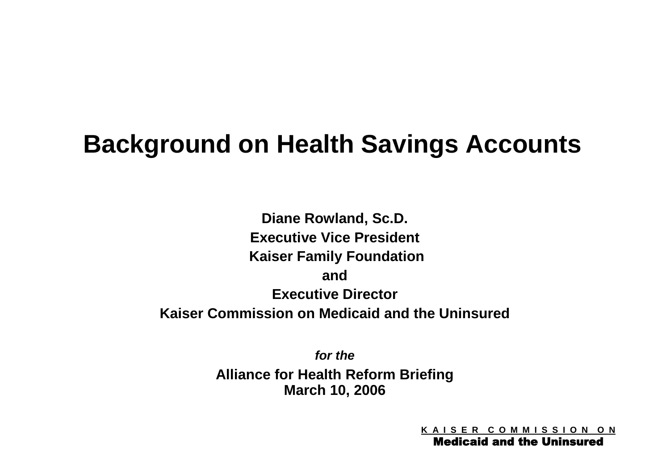# **Background on Health Savings Accounts**

**Diane Rowland, Sc.D. Executive Vice President Kaiser Family Foundation and Executive Director Kaiser Commission on Medicaid and the Uninsured**

> *for the* **Alliance for Health Reform Briefing March 10, 2006**

> > **K A I S E R C O M M I S S I O N O N**

Medicaid and the Uninsured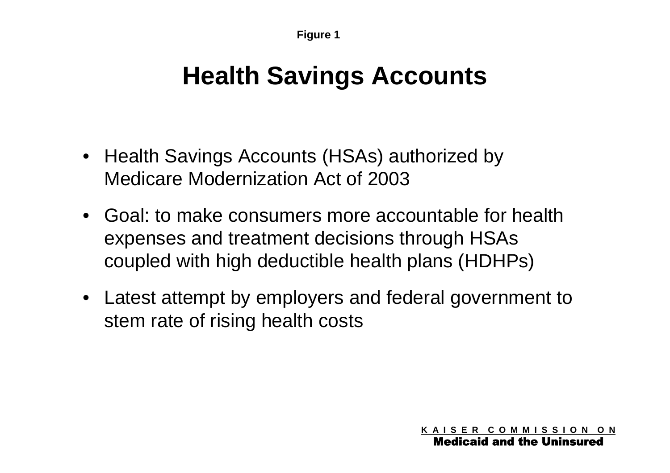## **Health Savings Accounts**

- Health Savings Accounts (HSAs) authorized by Medicare Modernization Act of 2003
- Goal: to make consumers more accountable for health expenses and treatment decisions through HSAs coupled with high deductible health plans (HDHPs)
- Latest attempt by employers and federal government to stem rate of rising health costs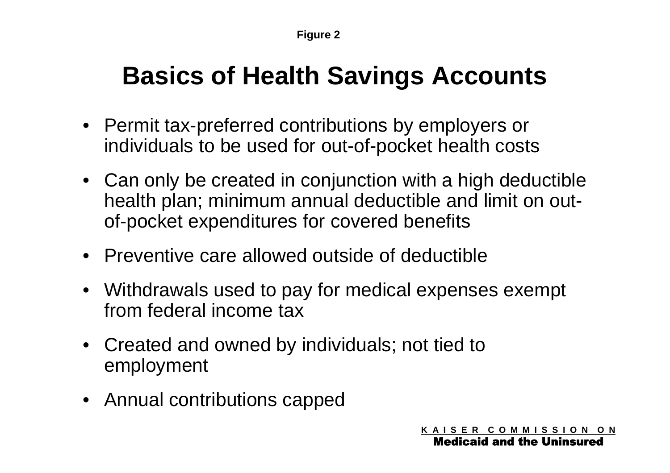# **Basics of Health Savings Accounts**

- Permit tax-preferred contributions by employers or individuals to be used for out-of-pocket health costs
- Can only be created in conjunction with a high deductible health plan; minimum annual deductible and limit on outof-pocket expenditures for covered benefits
- Preventive care allowed outside of deductible
- Withdrawals used to pay for medical expenses exempt from federal income tax
- Created and owned by individuals; not tied to employment
- Annual contributions capped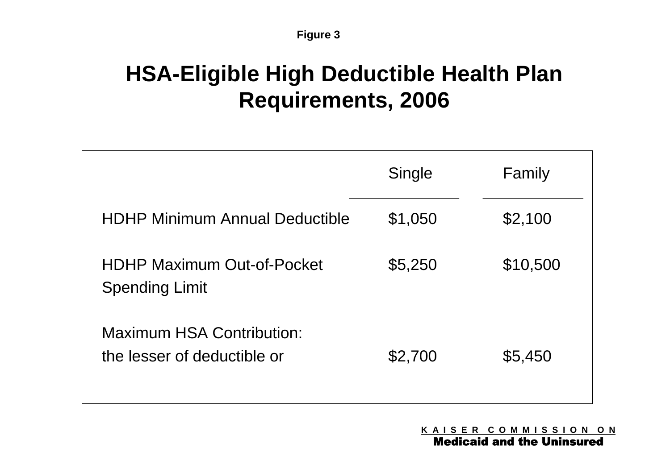#### **Figure 3**

## **HSA-Eligible High Deductible Health Plan Requirements, 2006**

|                                                                 | Single  | Family   |
|-----------------------------------------------------------------|---------|----------|
| <b>HDHP Minimum Annual Deductible</b>                           | \$1,050 | \$2,100  |
| <b>HDHP Maximum Out-of-Pocket</b><br><b>Spending Limit</b>      | \$5,250 | \$10,500 |
| <b>Maximum HSA Contribution:</b><br>the lesser of deductible or | \$2,700 | \$5,450  |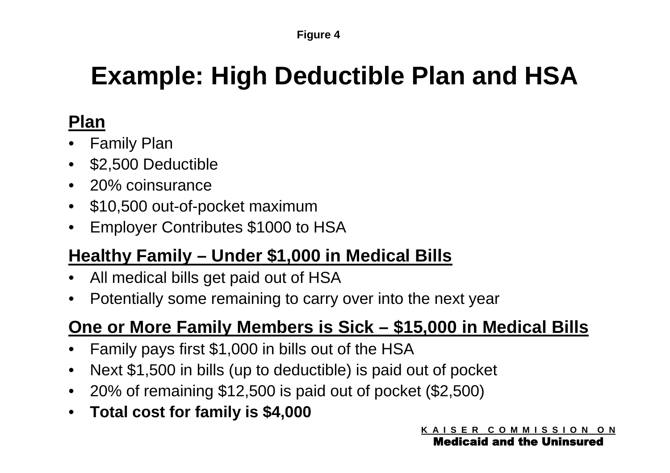#### **Figure 4**

# **Example: High Deductible Plan and HSA**

### **Plan**

- Family Plan
- \$2,500 Deductible
- 20% coinsurance
- \$10,500 out-of-pocket maximum
- Employer Contributes \$1000 to HSA

### **Healthy Family – Under \$1,000 in Medical Bills**

- All medical bills get paid out of HSA
- Potentially some remaining to carry over into the next year

### **One or More Family Members is Sick – \$15,000 in Medical Bills**

- Family pays first \$1,000 in bills out of the HSA
- Next \$1,500 in bills (up to deductible) is paid out of pocket
- 20% of remaining \$12,500 is paid out of pocket (\$2,500)
- **Total cost for family is \$4,000**

Medicaid and the Uninsured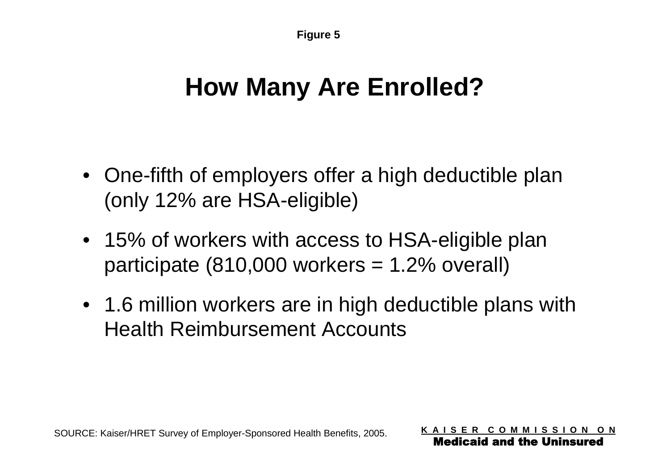# **How Many Are Enrolled?**

- One-fifth of employers offer a high deductible plan (only 12% are HSA-eligible)
- 15% of workers with access to HSA-eligible plan participate  $(810,000$  workers  $= 1.2\%$  overall)
- 1.6 million workers are in high deductible plans with Health Reimbursement Accounts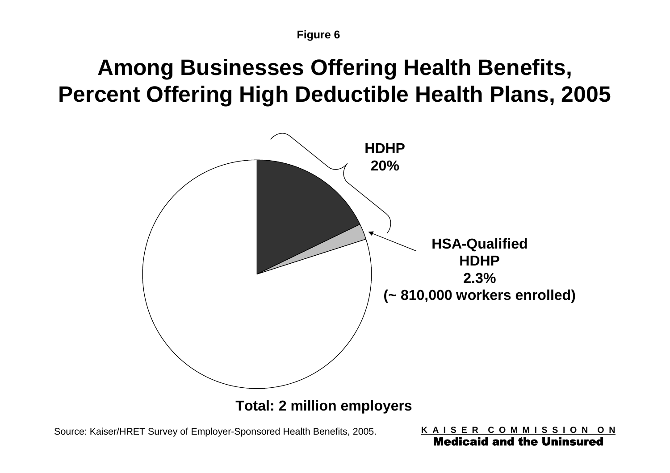## **Among Businesses Offering Health Benefits, Percent Offering High Deductible Health Plans, 2005**



**Total: 2 million employers**

Source: Kaiser/HRET Survey of Employer-Sponsored Health Benefits, 2005.

**K A I S E R C O M M I S S I O N O N** Medicaid and the Uninsured